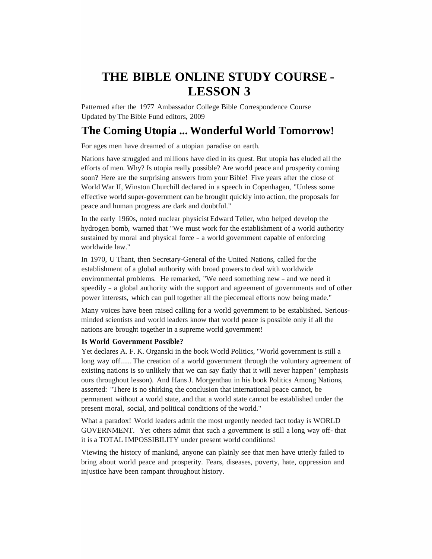# **THE BIBLE ONLINE STUDY COURSE - LESSON 3**

Patterned after the 1977 Ambassador College Bible Correspondence Course Updated by The Bible Fund editors, 2009

# **The Coming Utopia ... Wonderful World Tomorrow!**

For ages men have dreamed of a utopian paradise on earth.

Nations have struggled and millions have died in its quest. But utopia has eluded all the efforts of men. Why? Is utopia really possible? Are world peace and prosperity coming soon? Here are the surprising answers from your Bible! Five years after the close of World War II, Winston Churchill declared in a speech in Copenhagen, "Unless some effective world super-government can be brought quickly into action, the proposals for peace and human progress are dark and doubtful."

In the early 1960s, noted nuclear physicist Edward Teller, who helped develop the hydrogen bomb, warned that "We must work for the establishment of a world authority sustained by moral and physical force - a world government capable of enforcing worldwide law."

In 1970, U Thant, then Secretary-General of the United Nations, called for the establishment of a global authority with broad powers to deal with worldwide environmental problems. He remarked, "We need something new - and we need it speedily - a global authority with the support and agreement of governments and of other power interests, which can pull together all the piecemeal efforts now being made."

Many voices have been raised calling for a world government to be established. Seriousminded scientists and world leaders know that world peace is possible only if all the nations are brought together in a supreme world government!

# **Is World Government Possible?**

Yet declares A. F. K. Organski in the book World Politics, "World government is still a long way off...... The creation of a world government through the voluntary agreement of existing nations is so unlikely that we can say flatly that it will never happen" (emphasis ours throughout lesson). And Hans J. Morgenthau in his book Politics Among Nations, asserted: "There is no shirking the conclusion that international peace cannot, be permanent without a world state, and that a world state cannot be established under the present moral, social, and political conditions of the world."

What a paradox! World leaders admit the most urgently needed fact today is WORLD GOVERNMENT. Yet others admit that such a government is still a long way off- that it is a TOTAL IMPOSSIBILITY under present world conditions!

Viewing the history of mankind, anyone can plainly see that men have utterly failed to bring about world peace and prosperity. Fears, diseases, poverty, hate, oppression and injustice have been rampant throughout history.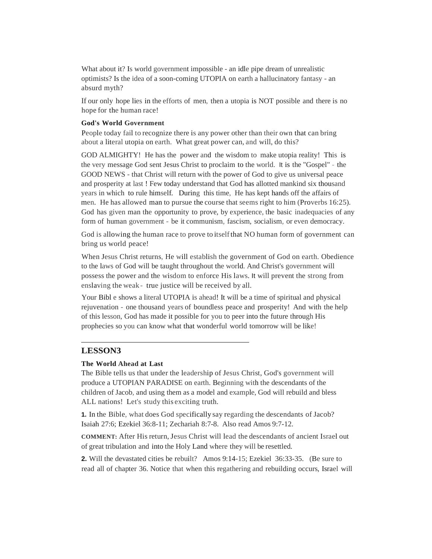What about it? Is world government impossible - an idle pipe dream of unrealistic optimists? Is the idea of a soon-coming UTOPIA on earth a hallucinatory fantasy - an absurd myth?

If our only hope lies in the efforts of men, then a utopia is NOT possible and there is no hope for the human race!

#### **God's World Government**

People today fail to recognize there is any power other than their own that can bring about a literal utopia on earth. What great power can, and will, do this?

GOD ALMIGHTY! He has the power and the wisdom to make utopia reality! This is the very message God sent Jesus Christ to proclaim to the world. It is the "Gospel" - the GOOD NEWS - that Christ will return with the power of God to give us universal peace and prosperity at last ! Few today understand that God has allotted mankind six thousand years in which to rule himself. During this time, He has kept hands off the affairs of men. He has allowed man to pursue the course that seems right to him (Proverbs 16:25). God has given man the opportunity to prove, by experience, the basic inadequacies of any form of human government - be it communism, fascism, socialism, or even democracy.

God is allowing the human race to prove to itselfthat NO human form of government can bring us world peace!

When Jesus Christ returns, He will establish the government of God on earth. Obedience to the laws of God will be taught throughout the world. And Christ's government will possess the power and the wisdom to enforce His laws. It will prevent the strong from enslaving the weak- true justice will be received by all.

Your Bibl e shows a literal UTOPIA is ahead! It will be a time of spiritual and physical rejuvenation - one thousand years of boundless peace and prosperity! And with the help of this lesson, God has made it possible for you to peer into the future through His prophecies so you can know what that wonderful world tomorrow will be like!

# **LESSON3**

#### **The World Ahead at Last**

The Bible tells us that under the leadership of Jesus Christ, God's government will produce a UTOPIAN PARADISE on earth. Beginning with the descendants of the children of Jacob, and using them as a model and example, God will rebuild and bless ALL nations! Let's study this exciting truth.

**1.** In the Bible, what does God specifically say regarding the descendants of Jacob? Isaiah 27:6; Ezekiel 36:8-11; Zechariah 8:7-8. Also read Amos 9:7-12.

**COMMENT:** After His return, Jesus Christ will lead the descendants of ancient Israel out of great tribulation and into the Holy Land where they will be resettled.

**2.** Will the devastated cities be rebuilt? Amos 9:14-15; Ezekiel 36:33-35. (Be sure to read all of chapter 36. Notice that when this regathering and rebuilding occurs, Israel will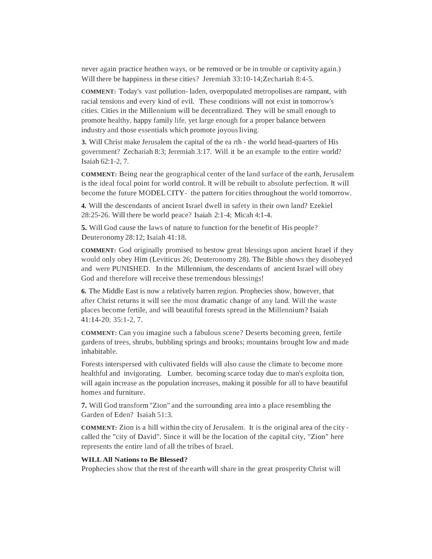never again practice heathen ways, or be removed or be in trouble or captivity again.) Will there be happiness in these cities? Jeremiah 33:10-14; Zechariah 8:4-5.

**COMMENT:** Today's vast pollution- laden, overpopulated metropolises are rampant, with racial tensions and every kind of evil. These conditions will not exist in tomorrow's cities. Cities in the Millennium will be decentralized. They will be small enough to promote healthy, happy family life, yet large enough for a proper balance between industry and those essentials which promote joyous living.

**3.** Will Christ make Jerusalem the capital of the ea rth - the world head-quarters of His government? Zechariah 8:3; Jeremiah 3:17. Will it be an example to the entire world? Isaiah 62:1-2, 7.

**COMMENT:** Being near the geographical center of the land surface of the earth, Jerusalem is the ideal focal point for world control. It will be rebuilt to absolute perfection. It will become the future MODELCITY- the pattern for cities throughout the world tomorrow.

**4.** Will the descendants of ancient Israel dwell in safety in their own land? Ezekiel 28:25-26. Will there be world peace? Isaiah 2:1-4; Micah 4:1-4.

**5.** Will God cause the laws of nature to function for the benefit of His people? Deuteronomy 28:12; Isaiah 41:18.

**COMMENT:** God originally promised to bestow great blessings upon ancient Israel if they would only obey Him (Leviticus 26; Deuteronomy 28). The Bible shows they disobeyed and were PUNISHED. In the Millennium, the descendants of ancient Israel will obey God and therefore will receive these tremendous blessings!

**6.** The Middle East is now a relatively barren region. Prophecies show, however, that after Christ returns it will see the most dramatic change of any land. Will the waste places become fertile, and will beautiful forests spread in the Millennium? Isaiah 41:14-20; 35:1-2, 7.

**COMMENT:** Can you imagine such a fabulous scene? Deserts becoming green, fertile gardens of trees, shrubs, bubbling springs and brooks; mountains brought low and made inhabitable.

Forests interspersed with cultivated fields will also cause the climate to become more healthful and invigorating. Lumber, becoming scarce today due to man's exploita tion, will again increase as the population increases, making it possible for all to have beautiful homes and furniture.

**7.** Will God transform"Zion" and the surrounding area into a place resembling the Garden of Eden? Isaiah 51:3.

**COMMENT:** Zion is a hill within the city of Jerusalem. It is the original area of the city called the "city of David". Since it will be the location of the capital city, "Zion" here represents the entire land of all the tribes of Israel.

#### **WILLAll Nations to Be Blessed?**

Prophecies show that the rest of the earth will share in the great prosperity Christ will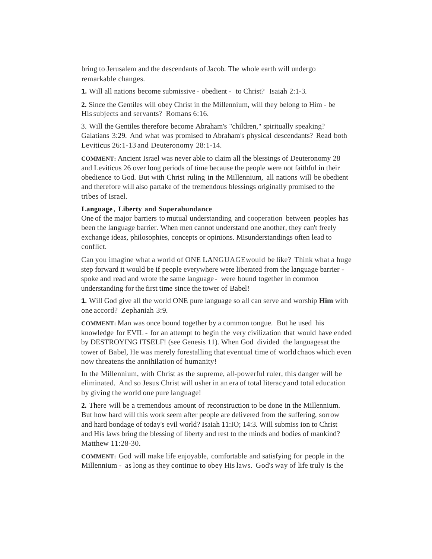bring to Jerusalem and the descendants of Jacob. The whole earth will undergo remarkable changes.

**1.** Will all nations become submissive - obedient - to Christ? Isaiah 2:1-3.

**2.** Since the Gentiles will obey Christ in the Millennium, will they belong to Him - be Hissubjects and servants? Romans 6:16.

3. Will the Gentiles therefore become Abraham's "children," spiritually speaking? Galatians 3:29. And what was promised to Abraham's physical descendants? Read both Leviticus 26:1-13 and Deuteronomy 28:1-14.

**COMMENT:** Ancient Israel was never able to claim all the blessings of Deuteronomy 28 and Leviticus 26 over long periods of time because the people were not faithful in their obedience to God. But with Christ ruling in the Millennium, all nations will be obedient and therefore will also partake of the tremendous blessings originally promised to the tribes of Israel.

#### **Language , Liberty and Superabundance**

One of the major barriers to mutual understanding and cooperation between peoples has been the language barrier. When men cannot understand one another, they can't freely exchange ideas, philosophies, concepts or opinions. Misunderstandings often lead to conflict.

Can you imagine what a world of ONE LANGUAGEwould be like? Think what a huge step forward it would be if people everywhere were liberated from the language barrier spoke and read and wrote the same language - were bound together in common understanding for the first time since the tower of Babel!

**1.** Will God give all the world ONE pure language so all can serve and worship **Him** with one accord? Zephaniah 3:9.

**COMMENT:** Man was once bound together by a common tongue. But he used his knowledge for EVIL - for an attempt to begin the very civilization that would have ended by DESTROYING ITSELF! (see Genesis 11). When God divided the languagesat the tower of Babel, He was merely forestalling that eventual time of world chaos which even now threatens the annihilation of humanity!

In the Millennium, with Christ as the supreme, all-powerful ruler, this danger will be eliminated. And so Jesus Christ will usher in an era of total literacyand total education by giving the world one pure language!

**2.** There will be a tremendous amount of reconstruction to be done in the Millennium. But how hard will this work seem after people are delivered from the suffering, sorrow and hard bondage of today's evil world? Isaiah 11:IO; 14:3. Will submiss ion to Christ and His laws bring the blessing of liberty and rest to the minds and bodies of mankind? Matthew 11:28-30.

**COMMENT:** God will make life enjoyable, comfortable and satisfying for people in the Millennium - as long as they continue to obey His laws. God's way of life truly is the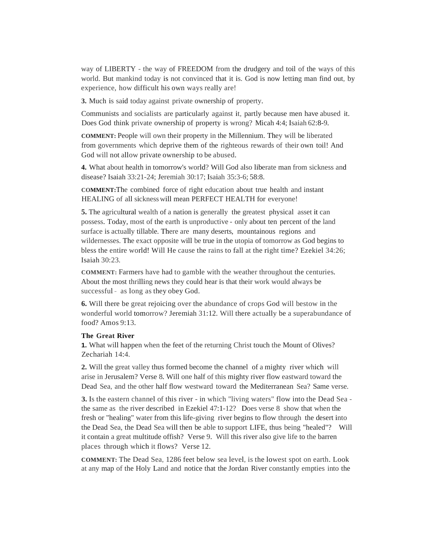way of LIBERTY - the way of FREEDOM from the drudgery and toil of the ways of this world. But mankind today is not convinced that it is. God is now letting man find out, by experience, how difficult his own ways really are!

**3.** Much is said today against private ownership of property.

Communists and socialists are particularly against it, partly because men have abused it. Does God think private ownership of property is wrong? Micah 4:4; Isaiah 62:8-9.

**COMMENT:** People will own their property in the Millennium. They will be liberated from governments which deprive them of the righteous rewards of their own toil! And God will not allow private ownership to be abused.

**4.** What about health in tomorrow's world? Will God also liberate man from sickness and disease? Isaiah 33:21-24; Jeremiah 30:17; Isaiah 35:3-6; 58:8.

**COMMENT:**The combined force of right education about true health and instant HEALING of all sicknesswill mean PERFECT HEALTH for everyone!

**5.** The agricultural wealth of a nation is generally the greatest physical asset it can possess. Today, most of the earth is unproductive - only about ten percent of the land surface is actually tillable. There are many deserts, mountainous regions and wildernesses. The exact opposite will be true in the utopia of tomorrow as God begins to bless the entire world! Will He cause the rains to fall at the right time? Ezekiel 34:26; Isaiah 30:23.

**COMMENT:** Farmers have had to gamble with the weather throughout the centuries. About the most thrilling news they could hear is that their work would always be successful - as long as they obey God.

**6.** Will there be great rejoicing over the abundance of crops God will bestow in the wonderful world tomorrow? Jeremiah 31:12. Will there actually be a superabundance of food? Amos 9:13.

#### **The Great River**

**1.** What will happen when the feet of the returning Christ touch the Mount of Olives? Zechariah 14:4.

**2.** Will the great valley thus formed become the channel of a mighty river which will arise in Jerusalem? Verse 8. Will one half of this mighty river flow eastward toward the Dead Sea, and the other half flow westward toward the Mediterranean Sea? Same verse.

**3.** Is the eastern channel of this river - in which "living waters" flow into the Dead Sea the same as the river described in Ezekiel 47:1-12? Does verse 8 show that when the fresh or "healing" water from this life-giving river begins to flow through the desert into the Dead Sea, the Dead Sea will then be able to support LIFE, thus being "healed"? Will it contain a great multitude offish? Verse 9. Will this river also give life to the barren places through which it flows? Verse 12.

**COMMENT:** The Dead Sea, 1286 feet below sea level, is the lowest spot on earth. Look at any map of the Holy Land and notice that the Jordan River constantly empties into the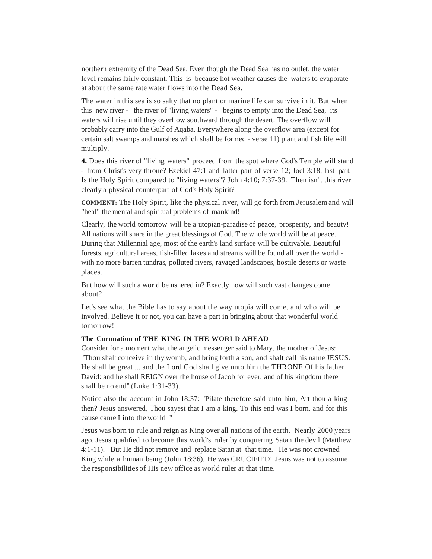northern extremity of the Dead Sea. Even though the Dead Sea has no outlet, the water level remains fairly constant. This is because hot weather causes the waters to evaporate at about the same rate water flows into the Dead Sea.

The water in this sea is so salty that no plant or marine life can survive in it. But when this new river - the river of "living waters" - begins to empty into the Dead Sea, its waters will rise until they overflow southward through the desert. The overflow will probably carry into the Gulf of Aqaba. Everywhere along the overflow area (except for certain salt swamps and marshes which shall be formed - verse 11) plant and fish life will multiply.

**4.** Does this river of "living waters" proceed from the spot where God's Temple will stand - from Christ's very throne? Ezekiel 47:1 and latter part of verse 12; Joel 3:18, last part. Is the Holy Spirit compared to "living waters"? John 4:10; 7:37-39. Then isn' t this river clearly a physical counterpart of God's Holy Spirit?

**COMMENT:** The Holy Spirit, like the physical river, will go forth from Jerusalem and will "heal" the mental and spiritual problems of mankind!

Clearly, the world tomorrow will be a utopian-paradise of peace, prosperity, and beauty! All nations will share in the great blessings of God. The whole world will be at peace. During that Millennial age, most of the earth's land surface will be cultivable. Beautiful forests, agricultural areas, fish-filled lakes and streams will be found all over the world with no more barren tundras, polluted rivers, ravaged landscapes, hostile deserts or waste places.

But how will such a world be ushered in? Exactly how will such vast changes come about?

Let's see what the Bible has to say about the way utopia will come, and who will be involved. Believe it or not, you can have a part in bringing about that wonderful world tomorrow!

# **The Coronation of THE KING IN THE WORLD AHEAD**

Consider for a moment what the angelic messenger said to Mary, the mother of Jesus: "Thou shalt conceive in thy womb, and bring forth a son, and shalt call his name JESUS. He shall be great ... and the Lord God shall give unto him the THRONE Of his father David: and he shall REIGN over the house of Jacob for ever; and of his kingdom there shall be no end" (Luke 1:31-33).

Notice also the account in John 18:37: "Pilate therefore said unto him, Art thou a king then? Jesus answered, Thou sayest that I am a king. To this end was I born, and for this cause came I into the world "

Jesus was born to rule and reign as King over all nations of the earth. Nearly 2000 years ago, Jesus qualified to become this world's ruler by conquering Satan the devil (Matthew 4:1-11). But He did not remove and replace Satan at that time. He was not crowned King while a human being (John 18:36). He was CRUCIFIED! Jesus was not to assume the responsibilities of His new office as world ruler at that time.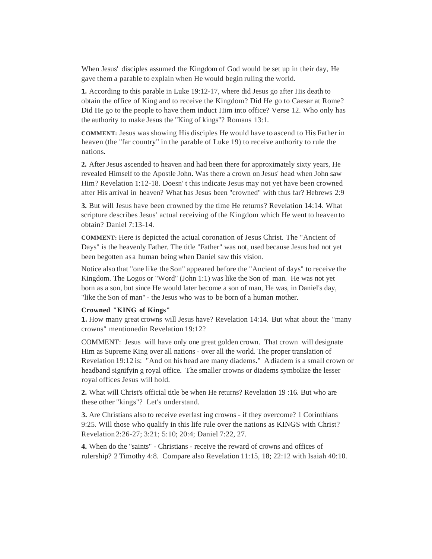When Jesus' disciples assumed the Kingdom of God would be set up in their day, He gave them a parable to explain when He would begin ruling the world.

**1.** According to this parable in Luke 19:12-17, where did Jesus go after His death to obtain the office of King and to receive the Kingdom? Did He go to Caesar at Rome? Did He go to the people to have them induct Him into office? Verse 12. Who only has the authority to make Jesus the "King of kings"? Romans 13:1.

**COMMENT:** Jesus was showing His disciples He would have to ascend to His Father in heaven (the "far country" in the parable of Luke 19) to receive authority to rule the nations.

**2.** After Jesus ascended to heaven and had been there for approximately sixty years, He revealed Himself to the Apostle John. Was there a crown on Jesus' head when John saw Him? Revelation 1:12-18. Doesn' t this indicate Jesus may not yet have been crowned after His arrival in heaven? What has Jesus been "crowned" with thus far? Hebrews 2:9

**3.** But will Jesus have been crowned by the time He returns? Revelation 14:14. What scripture describes Jesus' actual receiving of the Kingdom which He went to heaven to obtain? Daniel 7:13-14.

**COMMENT:** Here is depicted the actual coronation of Jesus Christ. The "Ancient of Days" is the heavenly Father. The title "Father" was not, used because Jesus had not yet been begotten as a human being when Daniel saw this vision.

Notice also that "one like the Son" appeared before the "Ancient of days" to receive the Kingdom. The Logos or "Word" (John 1:1) was like the Son of man. He was not yet born as a son, but since He would later become a son of man, He was, in Daniel's day, "like the Son of man" - the Jesus who was to be born of a human mother.

#### **Crowned "KING of Kings"**

**1.** How many great crowns will Jesus have? Revelation 14:14. But what about the "many" crowns" mentionedin Revelation 19:12?

COMMENT: Jesus will have only one great golden crown. That crown will designate Him as Supreme King over all nations - over all the world. The proper translation of Revelation 19:12 is: "And on his head are many diadems." Adiadem is a small crown or headband signifyin g royal office. The smaller crowns or diadems symbolize the lesser royal offices Jesus will hold.

**2.** What will Christ's official title be when He returns? Revelation 19 :16. But who are these other "kings"? Let's understand.

**3.** Are Christians also to receive everlast ing crowns - if they overcome? 1 Corinthians 9:25. Will those who qualify in this life rule over the nations as KINGS with Christ? Revelation 2:26-27; 3:21; 5:10; 20:4; Daniel 7:22, 27.

**4.** When do the "saints" - Christians - receive the reward of crowns and offices of rulership? 2 Timothy 4:8. Compare also Revelation 11:15, 18; 22:12 with Isaiah 40:10.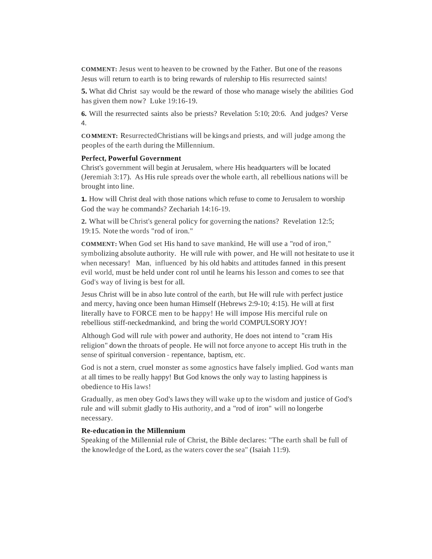**COMMENT:** Jesus went to heaven to be crowned by the Father. But one of the reasons Jesus will return to earth is to bring rewards of rulership to His resurrected saints!

**5.** What did Christ say would be the reward of those who manage wisely the abilities God has given them now? Luke 19:16-19.

**6.** Will the resurrected saints also be priests? Revelation 5:10; 20:6. And judges? Verse 4.

**COMMENT:** ResurrectedChristians will be kings and priests, and will judge among the peoples of the earth during the Millennium.

#### **Perfect, Powerful Government**

Christ's government will begin at Jerusalem, where His headquarters will be located (Jeremiah 3:17). As His rule spreads over the whole earth, all rebellious nations will be brought into line.

**1.** How will Christ deal with those nations which refuse to come to Jerusalem to worship God the way he commands? Zechariah 14:16-19.

**2.** What will be Christ's general policy for governing the nations? Revelation 12:5; 19:15. Note the words "rod of iron."

**COMMENT:** When God set His hand to save mankind, He will use a "rod of iron," symbolizing absolute authority. He will rule with power, and He will not hesitate to use it when necessary! Man, influenced by his old habits and attitudes fanned in this present evil world, must be held under cont rol until he learns his lesson and comes to see that God's way of living is best for all.

Jesus Christ will be in abso lute control of the earth, but He will rule with perfect justice and mercy, having once been human Himself (Hebrews 2:9-10; 4:15). He will at first literally have to FORCE men to be happy! He will impose His merciful rule on rebellious stiff-neckedmankind, and bring the world COMPULSORYJOY!

Although God will rule with power and authority, He does not intend to "cram His religion" down the throats of people. He will not force anyone to accept His truth in the sense of spiritual conversion - repentance, baptism, etc.

God is not a stern, cruel monster as some agnostics have falsely implied. God wants man at all times to be really happy! But God knows the only way to lasting happiness is obedience to His laws!

Gradually, as men obey God's laws they will wake up to the wisdom and justice of God's rule and will submit gladly to His authority, and a "rod of iron" will no longerbe necessary.

# **Re-education in the Millennium**

Speaking of the Millennial rule of Christ, the Bible declares: "The earth shall be full of the knowledge of the Lord, as the waters cover the sea" (Isaiah 11:9).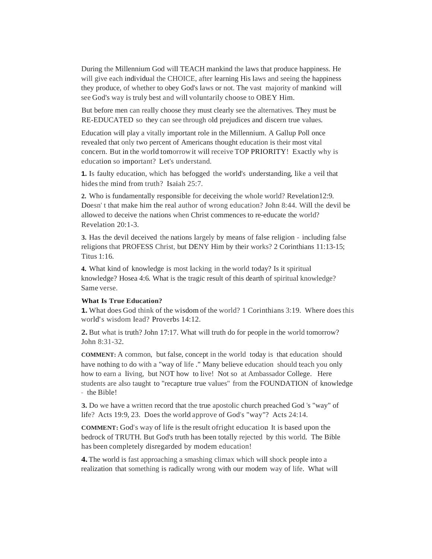During the Millennium God will TEACH mankind the laws that produce happiness. He will give each individual the CHOICE, after learning His laws and seeing the happiness they produce, of whether to obey God's laws or not. The vast majority of mankind will see God's way is truly best and will voluntarily choose to OBEY Him.

But before men can really choose they must clearly see the alternatives. They must be RE-EDUCATED so they can see through old prejudices and discern true values.

Education will play a vitally important role in the Millennium. A Gallup Poll once revealed that only two percent of Americans thought education is their most vital concern. But in the world tomorrowit will receive TOP PRIORITY! Exactly why is education so important? Let's understand.

**1.** Is faulty education, which has befogged the world's understanding, like a veil that hides the mind from truth? Isaiah 25:7.

**2.** Who is fundamentally responsible for deceiving the whole world? Revelation12:9. Doesn' t that make him the real author of wrong education? John 8:44. Will the devil be allowed to deceive the nations when Christ commences to re-educate the world? Revelation 20:1-3.

**3.** Has the devil deceived the nations largely by means of false religion - including false religions that PROFESS Christ, but DENY Him by their works? 2 Corinthians 11:13-15; Titus 1:16.

**4.** What kind of knowledge is most lacking in the world today? Is it spiritual knowledge? Hosea 4:6. What is the tragic result of this dearth of spiritual knowledge? Same verse.

# **What Is True Education?**

**1.** What does God think of the wisdom of the world? 1 Corinthians 3:19. Where does this world's wisdom lead? Proverbs 14:12.

**2.** But what is truth? John 17:17. What will truth do for people in the world tomorrow? John 8:31-32.

**COMMENT:** A common, but false, concept in the world today is that education should have nothing to do with a "way of life ." Many believe education should teach you only how to earn a living, but NOT how to live! Not so at Ambassador College. Here students are also taught to "recapture true values" from the FOUNDATION of knowledge - the Bible!

**3.** Do we have a written record that the true apostolic church preached God 's "way" of life? Acts 19:9, 23. Does the world approve of God's "way"? Acts 24:14.

**COMMENT:** God's way of life is the result ofright education. It is based upon the bedrock of TRUTH. But God's truth has been totally rejected by this world. The Bible has been completely disregarded by modem education!

**4.** The world is fast approaching a smashing climax which will shock people into a realization that something is radically wrong with our modem way of life. What will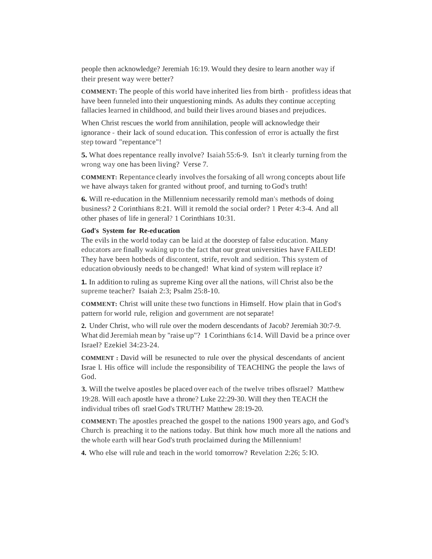people then acknowledge? Jeremiah 16:19. Would they desire to learn another way if their present way were better?

**COMMENT:** The people of this world have inherited lies from birth - profitless ideas that have been funneled into their unquestioning minds. As adults they continue accepting fallacies learned in childhood, and build their lives around biases and prejudices.

When Christ rescues the world from annihilation, people will acknowledge their ignorance - their lack of sound education. This confession of error is actually the first step toward "repentance"!

**5.** What does repentance really involve? Isaiah 55:6-9. Isn't it clearly turning from the wrong way one has been living? Verse 7.

**COMMENT:** Repentance clearly involves the forsaking of all wrong concepts about life we have always taken for granted without proof, and turning to God's truth!

**6.** Will re-education in the Millennium necessarily remold man's methods of doing business? 2 Corinthians 8:21. Will it remold the social order? 1 Peter 4:3-4. And all other phases of life in general? 1 Corinthians 10:31.

#### **God's System for Re-education**

The evils in the world today can be laid at the doorstep of false education. Many educators are finally waking up to the fact that our great universities have FAILED! They have been hotbeds of discontent, strife, revolt and sedition. This system of education obviously needs to be changed! What kind of system will replace it?

**1.** In addition to ruling as supreme King over all the nations, will Christ also be the supreme teacher? Isaiah 2:3; Psalm 25:8-10.

**COMMENT:** Christ will unite these two functions in Himself. How plain that in God's pattern for world rule, religion and government are not separate!

**2.** Under Christ, who will rule over the modern descendants of Jacob? Jeremiah 30:7-9. What did Jeremiah mean by "raise up"? 1 Corinthians 6:14. Will David be a prince over Israel? Ezekiel 34:23-24.

**COMMENT :** David will be resunected to rule over the physical descendants of ancient Israe l. His office will include the responsibility of TEACHING the people the laws of God.

**3.** Will the twelve apostles be placed over each of the twelve tribes oflsrael? Matthew 19:28. Will each apostle have a throne? Luke 22:29-30. Will they then TEACH the individual tribes ofl srael God's TRUTH? Matthew 28:19-20.

**COMMENT:** The apostles preached the gospel to the nations 1900 years ago, and God's Church is preaching it to the nations today. But think how much more all the nations and the whole earth will hear God's truth proclaimed during the Millennium!

**4.** Who else will rule and teach in the world tomorrow? Revelation 2:26; 5:IO.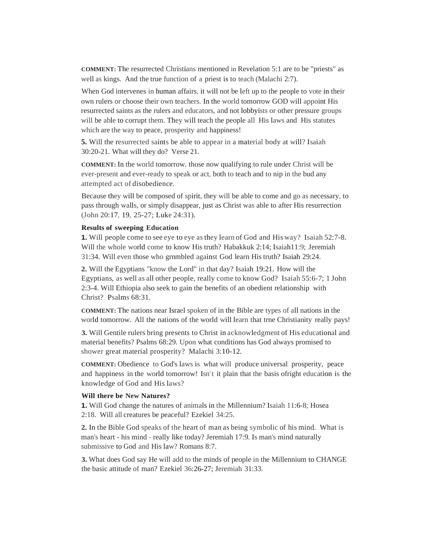**COMMENT:** The resurrected Christians mentioned in Revelation 5:1 are to be "priests" as well as kings. And the true function of a priest is to teach (Malachi 2:7).

When God intervenes in human affairs, it will not be left up to the people to vote in their own rulers or choose their own teachers. In the world tomorrow GOD will appoint His resurrected saints as the rulers and educators, and not lobbyists or other pressure groups will be able to corrupt them. They will teach the people all His laws and His statutes which are the way to peace, prosperity and happiness!

**5.** Will the resurrected saints be able to appear in a material body at will? Isaiah 30:20-21. What will they do? Verse 21.

**COMMENT:** In the world tomorrow. those now qualifying to rule under Christ will be ever-present and ever-ready to speak or act, both to teach and to nip in the bud any attempted act of disobedience.

Because they will be composed of spirit, they will be able to come and go as necessary, to pass through walls, or simply disappear, just as Christ was able to after His resurrection (John 20:17, 19, 25-27; Luke 24:31).

#### **Results of sweeping Education**

**1.** Will people come to see eye to eye asthey learn of God and His way? Isaiah 52:7-8. Will the whole world come to know His truth? Habakkuk 2:14; Isaiah11:9; Jeremiah 31:34. Will even those who grnmbled against God learn His truth? Isaiah 29:24.

**2.** Will the Egyptians "know the Lord" in that day? Isaiah 19:21. How will the Egyptians, as well as all other people, really come to know God? Isaiah 55:6-7; 1 John 2:3-4. Will Ethiopia also seek to gain the benefits of an obedient relationship with Christ? Psalms 68:31.

**COMMENT:** The nations near Israel spoken of in the Bible are types of all nations in the world tomorrow. All the nations of the world will learn that trne Christianity really pays!

**3.** Will Gentile rulers bring presents to Christ in acknowledgment of His educational and material benefits? Psalms 68:29. Upon what conditions has God always promised to shower great material prosperity? Malachi 3:10-12.

**COMMENT:** Obedience to God's laws is what will produce universal prosperity, peace and happiness in the world tomorrow! Isn't it plain that the basis ofright education is the knowledge of God and His laws?

#### **Will there be New Natures?**

**1.** Will God change the natures of animals in the Millennium? Isaiah 11:6-8; Hosea 2:18. Will all creatures be peaceful? Ezekiel 34:25.

**2.** In the Bible God speaks of the heart of man as being symbolic of his mind. What is man's heart - his mind - really like today? Jeremiah 17:9. Is man's mind naturally submissive to God and His law? Romans 8:7.

**3.** What does God say He will add to the minds of people in the Millennium to CHANGE the basic attitude of man? Ezekiel 36:26-27; Jeremiah 31:33.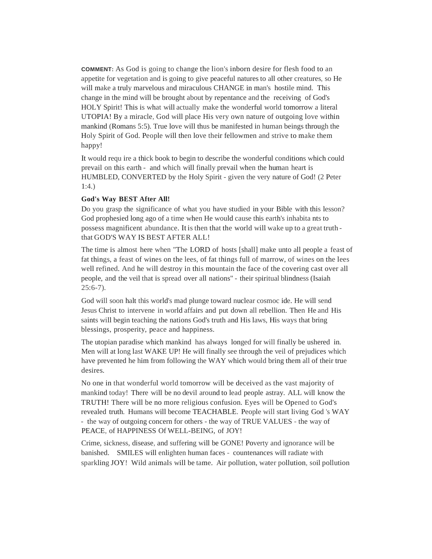**COMMENT:** As God is going to change the lion's inborn desire for flesh food to an appetite for vegetation and is going to give peaceful natures to all other creatures, so He will make a truly marvelous and miraculous CHANGE in man's hostile mind. This change in the mind will be brought about by repentance and the receiving of God's HOLY Spirit! This is what will actually make the wonderful world tomorrow a literal UTOPIA! By a miracle, God will place His very own nature of outgoing love within mankind (Romans 5:5). True love will thus be manifested in human beings through the Holy Spirit of God. People will then love their fellowmen and strive to make them happy!

It would requ ire a thick book to begin to describe the wonderful conditions which could prevail on this earth - and which will finally prevail when the human heart is HUMBLED, CONVERTED by the Holy Spirit - given the very nature of God! (2 Peter 1:4.)

# **God's Way BEST After All!**

Do you grasp the significance of what you have studied in your Bible with this lesson? God prophesied long ago of a time when He would cause this earth's inhabita nts to possess magnificent abundance. It is then that the world will wake up to a great truth that GOD'S WAY IS BEST AFTER ALL!

The time is almost here when "The LORD of hosts [shall] make unto all people a feast of fat things, a feast of wines on the lees, of fat things full of marrow, of wines on the lees well refined. And he will destroy in this mountain the face of the covering cast over all people, and the veil that is spread over all nations" - their spiritual blindness (Isaiah  $25:6-7$ ).

God will soon halt this world's mad plunge toward nuclear cosmoc ide. He will send Jesus Christ to intervene in world affairs and put down all rebellion. Then He and His saints will begin teaching the nations God's truth and His laws, His ways that bring blessings, prosperity, peace and happiness.

The utopian paradise which mankind has always longed for will finally be ushered in. Men will at long last WAKE UP! He will finally see through the veil of prejudices which have prevented he him from following the WAY which would bring them all of their true desires.

No one in that wonderful world tomorrow will be deceived as the vast majority of mankind today! There will be no devil around to lead people astray. ALL will know the TRUTH! There will be no more religious confusion. Eyes will be Opened to God's revealed truth. Humans will become TEACHABLE. People will start living God 's WAY - the way of outgoing concern for others - the way of TRUE VALUES - the way of PEACE, of HAPPINESS Of WELL-BEING, of JOY!

Crime, sickness, disease, and suffering will be GONE! Poverty and ignorance will be banished. SMILES will enlighten human faces - countenances will radiate with sparkling JOY! Wild animals will be tame. Air pollution, water pollution, soil pollution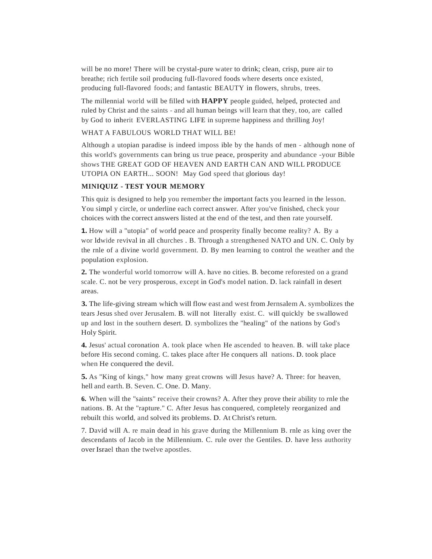will be no more! There will be crystal-pure water to drink; clean, crisp, pure air to breathe; rich fertile soil producing full-flavored foods where deserts once existed, producing full-flavored foods; and fantastic BEAUTY in flowers, shrubs, trees.

The millennial world will be filled with **HAPPY** people guided, helped, protected and ruled by Christ and the saints - and all human beings will learn that they, too, are called by God to inherit EVERLASTING LIFE in supreme happiness and thrilling Joy!

# WHAT A FABULOUS WORLD THAT WILL BE!

Although a utopian paradise is indeed imposs ible by the hands of men - although none of this world's governments can bring us true peace, prosperity and abundance -your Bible shows THE GREAT GOD OF HEAVEN AND EARTH CAN AND WILL PRODUCE UTOPIA ON EARTH... SOON! May God speed that glorious day!

# **MINIQUIZ - TEST YOUR MEMORY**

This quiz is designed to help you remember the important facts you learned in the lesson. You simpl y circle, or underline each correct answer. After you've finished, check your choices with the correct answers listed at the end of the test, and then rate yourself.

**1.** How will a "utopia" of world peace and prosperity finally become reality? A. By a wor ldwide revival in all churches . B. Through a strengthened NATO and UN. C. Only by the rnle of a divine world government. D. By men learning to control the weather and the population explosion.

**2.** The wonderful world tomorrow will A. have no cities. B. become reforested on a grand scale. C. not be very prosperous, except in God's model nation. D. lack rainfall in desert areas.

**3.** The life-giving stream which will flow east and west from Jernsalem A. symbolizes the tears Jesus shed over Jerusalem. B. will not literally exist. C. will quickly be swallowed up and lost in the southern desert. D. symbolizes the "healing" of the nations by God's Holy Spirit.

**4.** Jesus' actual coronation A. took place when He ascended to heaven. B. will take place before His second coming. C. takes place after He conquers all nations. D. took place when He conquered the devil.

**5.** As "King of kings," how many great crowns will Jesus have? A. Three: for heaven, hell and earth. B. Seven. C. One. D. Many.

**6.** When will the "saints" receive their crowns? A. After they prove their ability to rnle the nations. B. At the "rapture." C. After Jesus has conquered, completely reorganized and rebuilt this world, and solved its problems. D. At Christ's return.

7. David will A. re main dead in his grave during the Millennium B. rnle as king over the descendants of Jacob in the Millennium. C. rule over the Gentiles. D. have less authority over Israel than the twelve apostles.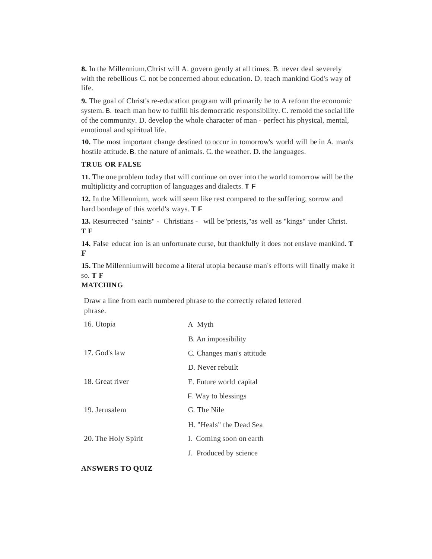**8.** In the Millennium,Christ will A. govern gently at all times. B. never deal severely with the rebellious C. not be concerned about education. D. teach mankind God's way of life.

**9.** The goal of Christ's re-education program will primarily be to A refonn the economic system. B. teach man how to fulfill his democratic responsibility. C. remold the social life of the community. D. develop the whole character of man - perfect his physical, mental, emotional and spiritual life.

**10.** The most important change destined to occur in tomorrow's world will be in A. man's hostile attitude. B. the nature of animals. C. the weather. D. the languages.

# **TRUE OR FALSE**

**11.** The one problem today that will continue on over into the world tomorrow will be the multiplicity and corruption of languages and dialects. **T F**

**12.** In the Millennium, work will seem like rest compared to the suffering, sorrow and hard bondage of this world's ways. **T F**

**13.** Resurrected "saints" - Christians - will be"priests,"as well as "kings" under Christ. **T F**

**14.** False educat ion is an unfortunate curse, but thankfully it does not enslave mankind. **T F**

**15.** The Millenniumwill become a literal utopia because man's efforts will finally make it so. **T F**

# **MATCHING**

Draw a line from each numbered phrase to the correctly related lettered phrase.

| 16. Utopia          | A Myth                    |  |
|---------------------|---------------------------|--|
|                     | B. An impossibility       |  |
| 17. God's law       | C. Changes man's attitude |  |
|                     | D. Never rebuilt          |  |
| 18. Great river     | E. Future world capital   |  |
|                     | F. Way to blessings       |  |
| 19. Jerusalem       | G. The Nile               |  |
|                     | H. "Heals" the Dead Sea   |  |
| 20. The Holy Spirit | I. Coming soon on earth.  |  |
|                     | J. Produced by science    |  |

# **ANSWERS TO QUIZ**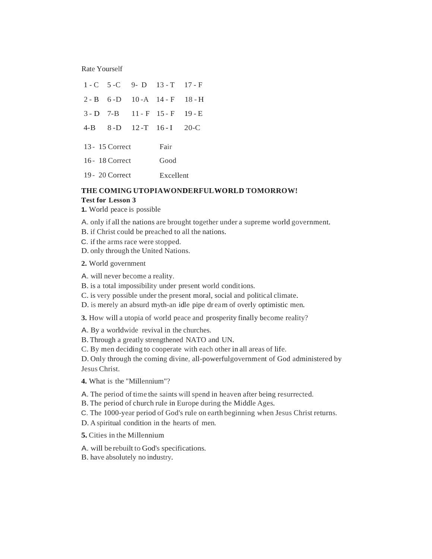Rate Yourself

|                   |  |      | $1 - C$ 5 - C 9 - D 13 - T 17 - F |  |
|-------------------|--|------|-----------------------------------|--|
|                   |  |      | $2 - B$ 6-D 10-A 14-F 18-H        |  |
|                   |  |      | $3-D$ 7-B 11-F 15-F 19-E          |  |
|                   |  |      | 4-B 8-D 12-T 16-I 20-C            |  |
| 13 - 15 Correct   |  |      | Fair                              |  |
| 16 - 18 Correct   |  | Good |                                   |  |
| $19 - 20$ Correct |  |      | Excellent                         |  |

# **THE COMING UTOPIAWONDERFULWORLD TOMORROW! Test for Lesson 3**

- **1.** World peace is possible
- A. only if all the nations are brought together under a supreme world government.
- B. if Christ could be preached to all the nations.
- C. if the arms race were stopped.
- D. only through the United Nations.
- **2.** World government
- A. will never become a reality.
- B. is a total impossibility under present world conditions.
- C. is very possible under the present moral, social and political climate.
- D. is merely an absurd myth-an idle pipe dr eam of overly optimistic men.

**3.** How will a utopia of world peace and prosperity finally become reality?

A. By a worldwide revival in the churches.

- B. Through a greatly strengthened NATO and UN.
- C. By men deciding to cooperate with each other in all areas of life.

D. Only through the coming divine, all-powerfulgovernment of God administered by Jesus Christ.

- **4.** What is the "Millennium"?
- A. The period of time the saints will spend in heaven after being resurrected.
- B. The period of church rule in Europe during the Middle Ages.
- C. The 1000-year period of God's rule on earth beginning when Jesus Christ returns.
- D. A spiritual condition in the hearts of men.
- **5.** Cities in the Millennium
- A. will be rebuilt to God's specifications.
- B. have absolutely no industry.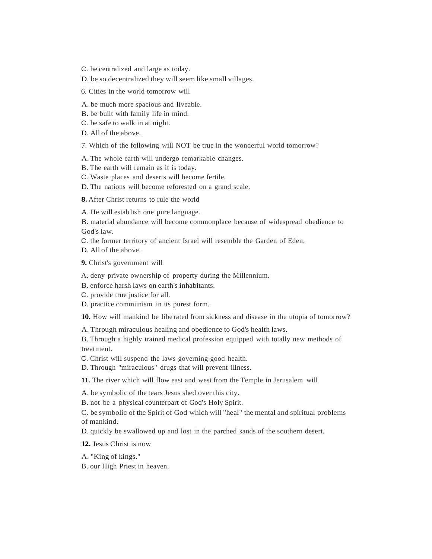C. be centralized and large as today.

D. be so decentralized they will seem like small villages.

6. Cities in the world tomorrow will

A. be much more spacious and liveable.

B. be built with family life in mind.

C. be safe to walk in at night.

D. All of the above.

7. Which of the following will NOT be true in the wonderful world tomorrow?

A. The whole earth will undergo remarkable changes.

B. The earth will remain as it is today.

C. Waste places and deserts will become fertile.

D. The nations will become reforested on a grand scale.

**8.** After Christ returns to rule the world

A. He will estab lish one pure language.

B. material abundance will become commonplace because of widespread obedience to God's law.

C. the former territory of ancient Israel will resemble the Garden of Eden.

D. All of the above.

**9.** Christ's government will

A. deny private ownership of property during the Millennium.

B. enforce harsh laws on earth's inhabitants.

C. provide true justice for all.

D. practice communism in its purest form.

**10.** How will mankind be libe rated from sickness and disease in the utopia of tomorrow?

A. Through miraculous healing and obedience to God's health laws.

B. Through a highly trained medical profession equipped with totally new methods of treatment.

C. Christ will suspend the laws governing good health.

D. Through "miraculous" drugs that will prevent illness.

**11.** The river which will flow east and west from the Temple in Jerusalem will

A. be symbolic of the tears Jesus shed over this city.

B. not be a physical counterpart of God's Holy Spirit.

C. be symbolic of the Spirit of God which will "heal" the mental and spiritual problems of mankind.

D. quickly be swallowed up and lost in the parched sands of the southern desert.

**12.** Jesus Christ is now

A. "King of kings."

B. our High Priest in heaven.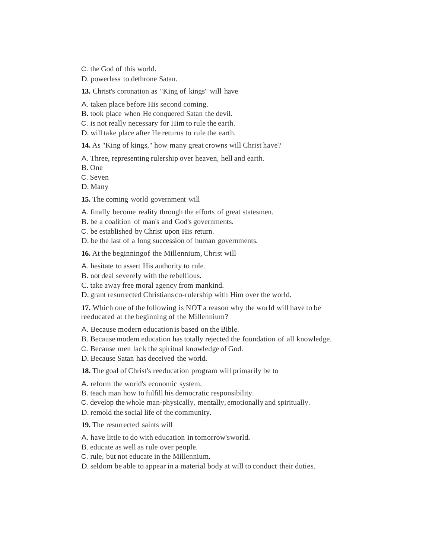C. the God of this world.

D. powerless to dethrone Satan.

**13.** Christ's coronation as "King of kings" will have

A. taken place before His second coming.

B. took place when He conquered Satan the devil.

C. is not really necessary for Him to rule the earth.

D. will take place after He returns to rule the earth.

**14.** As "King of kings," how many great crowns will Christ have?

A. Three, representing rulership over heaven, hell and earth.

B. One

C. Seven

D. Many

**15.** The coming world government will

A. finally become reality through the efforts of great statesmen.

B. be a coalition of man's and God's governments.

C. be established by Christ upon His return.

D. be the last of a long succession of human governments.

**16.** At the beginningof the Millennium, Christ will

A. hesitate to assert His authority to rule.

B. not deal severely with the rebellious.

C. take away free moral agency from mankind.

D. grant resurrected Christians co-rulership with Him over the world.

**17.** Which one of the following is NOT a reason why the world will have to be reeducated at the beginning of the Millennium?

A. Because modern education is based on the Bible.

B. Because modem education has totally rejected the foundation of all knowledge.

C. Because men lac k the spiritual knowledge of God.

D. Because Satan has deceived the world.

**18.** The goal of Christ's reeducation program will primarily be to

A. reform the world's economic system.

B. teach man how to fulfill his democratic responsibility.

C. develop the whole man-physically, mentally, emotionally and spiritually.

D. remold the social life of the community.

**19.** The resurrected saints will

A. have little to do with education in tomorrow'sworld.

B. educate as well as rule over people.

C. rule, but not educate in the Millennium.

D. seldom be able to appear in a material body at will to conduct their duties.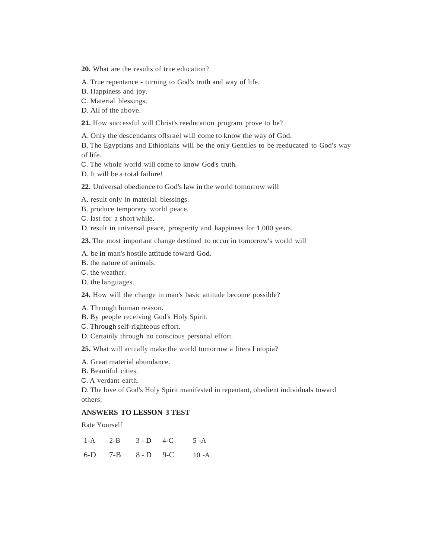**20.** What are the results of true education?

A. True repentance - turning to God's truth and way of life.

B. Happiness and joy.

- C. Material blessings.
- D. All of the above.

**21.** How successful will Christ's reeducation program prove to be?

A. Only the descendants oflsrael will come to know the way of God.

B. The Egyptians and Ethiopians will be the only Gentiles to be reeducated to God's way of life.

C. The whole world will come to know God's truth.

D. It will be a total failure!

**22.** Universal obedience to God's law in the world tomorrow will

A. result only in material blessings.

B. produce temporary world peace.

C. last for a short while.

D. result in universal peace, prosperity and happiness for 1,000 years.

**23.** The most important change destined to occur in tomorrow's world will

A. be in man's hostile attitude toward God.

B. the nature of animals.

C. the weather.

D. the languages.

**24.** How will the change in man's basic attitude become possible?

A. Through human reason.

B. By people receiving God's Holy Spirit.

C. Through self-righteous effort.

D. Certainly through no conscious personal effort.

**25.** What will actually make the world tomorrow a litera l utopia?

A. Great material abundance.

B. Beautiful cities.

C. A verdant earth.

D. The love of God's Holy Spirit manifested in repentant, obedient individuals toward others.

# **ANSWERS TO LESSON 3 TEST**

Rate Yourself

1-A 2-B 3 - D 4-C 6-D 7-B 8 - D 9-C 5 -A  $10 - A$